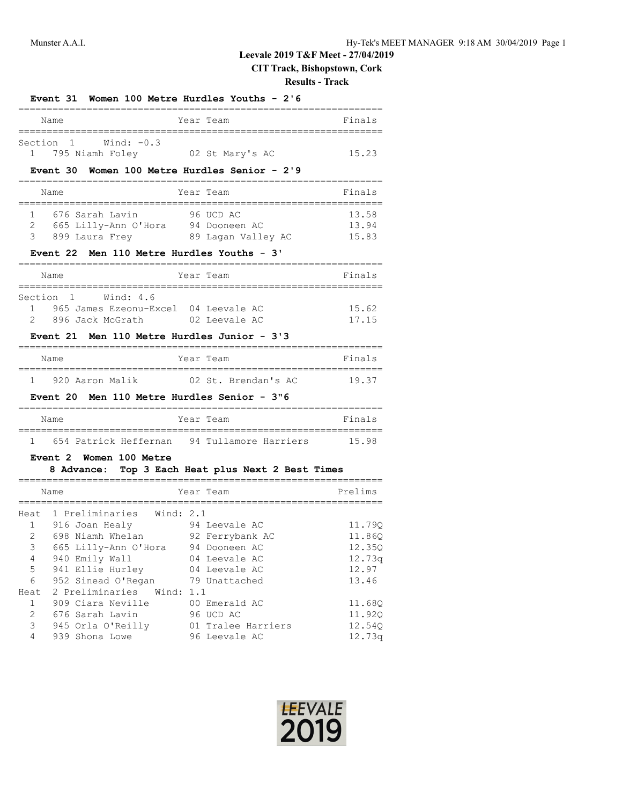# **Leevale 2019 T&F Meet - 27/04/2019**

**CIT Track, Bishopstown, Cork**

#### **Results - Track**

|                                                                                     | <b>Event 31</b>                                                                                                                                                                                                                                                               | Women 100 Metre Hurdles Youths - 2'6                                                                                                                     |                                                                                                |
|-------------------------------------------------------------------------------------|-------------------------------------------------------------------------------------------------------------------------------------------------------------------------------------------------------------------------------------------------------------------------------|----------------------------------------------------------------------------------------------------------------------------------------------------------|------------------------------------------------------------------------------------------------|
|                                                                                     | Name                                                                                                                                                                                                                                                                          | Year Team                                                                                                                                                | Finals                                                                                         |
| 1                                                                                   | Wind: $-0.3$<br>Section 1<br>795 Niamh Foley 02 St Mary's AC<br><b>Event 30</b>                                                                                                                                                                                               | Women 100 Metre Hurdles Senior - 2'9                                                                                                                     | 15.23                                                                                          |
|                                                                                     | Name                                                                                                                                                                                                                                                                          | Year Team                                                                                                                                                | Finals                                                                                         |
| 1.<br>2<br>3                                                                        | 676 Sarah Lavin<br>665 Lilly-Ann O'Hora 94 Dooneen AC<br>899 Laura Frey 189 Lagan Valley AC<br>Event 22 Men 110 Metre Hurdles Youths - 3'                                                                                                                                     | 96 UCD AC                                                                                                                                                | 13.58<br>13.94<br>15.83                                                                        |
|                                                                                     | Name                                                                                                                                                                                                                                                                          | Year Team                                                                                                                                                | Finals                                                                                         |
| Section<br>1.<br>$\overline{2}$                                                     | 1 Wind: 4.6<br>965 James Ezeonu-Excel 04 Leevale AC<br>896 Jack McGrath 02 Leevale AC<br><b>Event 21</b><br>Men 110 Metre Hurdles Junior - 3'3                                                                                                                                |                                                                                                                                                          | 15.62<br>17.15                                                                                 |
|                                                                                     | Name                                                                                                                                                                                                                                                                          | Year Team                                                                                                                                                | Finals                                                                                         |
| 1                                                                                   | 920 Aaron Malik                                                                                                                                                                                                                                                               | 02 St. Brendan's AC                                                                                                                                      | 19.37                                                                                          |
|                                                                                     | Men 110 Metre Hurdles Senior - 3"6<br><b>Event 20</b>                                                                                                                                                                                                                         |                                                                                                                                                          |                                                                                                |
|                                                                                     | Name                                                                                                                                                                                                                                                                          | Year Team                                                                                                                                                | Finals                                                                                         |
| Т.                                                                                  | 654 Patrick Heffernan 94 Tullamore Harriers 15.98                                                                                                                                                                                                                             |                                                                                                                                                          |                                                                                                |
|                                                                                     | Event 2 Women 100 Metre<br>8 Advance: Top 3 Each Heat plus Next 2 Best Times                                                                                                                                                                                                  |                                                                                                                                                          |                                                                                                |
|                                                                                     | Name                                                                                                                                                                                                                                                                          | Year Team                                                                                                                                                | Prelims                                                                                        |
| Heat<br>1<br>2<br>$\mathsf S$<br>4<br>5<br>6<br>Heat<br>1<br>$\mathbf{2}$<br>3<br>4 | 1 Preliminaries Wind: 2.1<br>916 Joan Healy<br>698 Niamh Whelan<br>665 Lilly-Ann O'Hora 94 Dooneen AC<br>940 Emily Wall<br>941 Ellie Hurley<br>952 Sinead O'Regan<br>2 Preliminaries Wind: 1.1<br>909 Ciara Neville<br>676 Sarah Lavin<br>945 Orla O'Reilly<br>939 Shona Lowe | 94 Leevale AC<br>92 Ferrybank AC<br>04 Leevale AC<br>04 Leevale AC<br>79 Unattached<br>00 Emerald AC<br>96 UCD AC<br>01 Tralee Harriers<br>96 Leevale AC | 11.790<br>11.86Q<br>12.35Q<br>12.73q<br>12.97<br>13.46<br>11.68Q<br>11.92Q<br>12.54Q<br>12.73q |

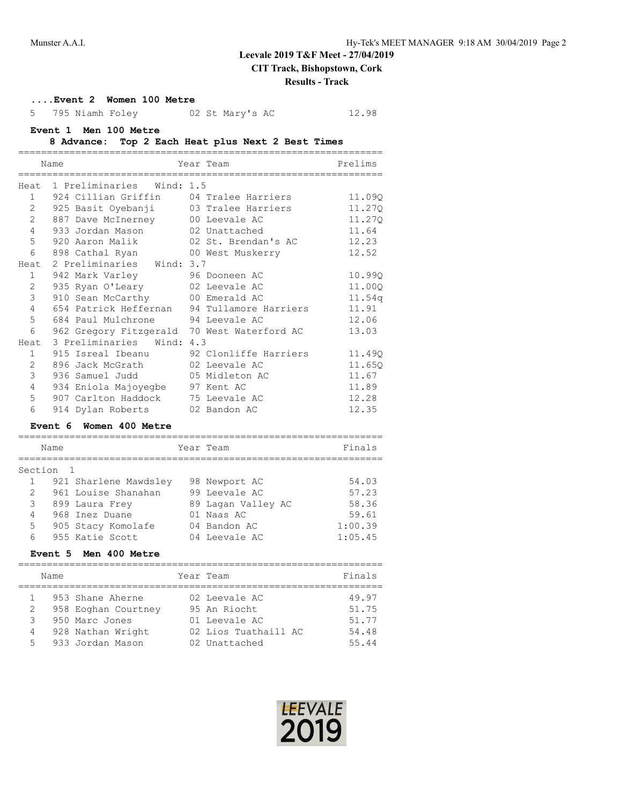# **Leevale 2019 T&F Meet - 27/04/2019**

**CIT Track, Bishopstown, Cork**

#### **Results - Track**

# **....Event 2 Women 100 Metre**

5 795 Niamh Foley 02 St Mary's AC 12.98

#### **Event 1 Men 100 Metre**

#### **8 Advance: Top 2 Each Heat plus Next 2 Best Times**

|                | Name                                     | Year Team                                      | Prelims |  |
|----------------|------------------------------------------|------------------------------------------------|---------|--|
|                |                                          | ====================                           |         |  |
|                | Heat 1 Preliminaries Wind: 1.5           |                                                |         |  |
|                | 1 924 Cillian Griffin 04 Tralee Harriers |                                                | 11.090  |  |
| $\overline{2}$ |                                          |                                                | 11,270  |  |
| $\overline{2}$ | 887 Dave McInerney 00 Leevale AC         |                                                | 11.27Q  |  |
| $\overline{4}$ | 933 Jordan Mason 02 Unattached           |                                                | 11.64   |  |
| 5              | 920 Aaron Malik 02 St. Brendan's AC      |                                                | 12.23   |  |
| 6              |                                          |                                                | 12.52   |  |
| Heat.          | 2 Preliminaries Wind: 3.7                |                                                |         |  |
| $\mathbf{1}$   | 942 Mark Varley 96 Dooneen AC            |                                                | 10.99Q  |  |
| $\overline{2}$ | 935 Ryan O'Leary 02 Leevale AC           |                                                | 11.00Q  |  |
| 3              | 910 Sean McCarthy 00 Emerald AC          |                                                | 11.54q  |  |
| 4              |                                          | 654 Patrick Heffernan 94 Tullamore Harriers    | 11.91   |  |
| 5              | 684 Paul Mulchrone 94 Leevale AC         |                                                | 12.06   |  |
| 6              |                                          | 962 Gregory Fitzgerald 70 West Waterford AC    | 13.03   |  |
| Heat           | 3 Preliminaries<br>Wind: 4.3             |                                                |         |  |
| $\mathbf{1}$   |                                          | 915 Isreal Ibeanu 92 Clonliffe Harriers 11.490 |         |  |
| $\overline{2}$ | 896 Jack McGrath 02 Leevale AC           |                                                | 11.65Q  |  |
| 3              | 936 Samuel Judd 05 Midleton AC           |                                                | 11.67   |  |
| $\overline{4}$ | 934 Eniola Majoyegbe 97 Kent AC          |                                                | 11.89   |  |
| 5              | 907 Carlton Haddock 75 Leevale AC        |                                                | 12.28   |  |
| 6              | 914 Dylan Roberts 02 Bandon AC           |                                                | 12.35   |  |

# **Event 6 Women 400 Metre**

| Name          |                       | Year Team          | Finals  |
|---------------|-----------------------|--------------------|---------|
| Section       |                       |                    |         |
|               | 921 Sharlene Mawdsley | 98 Newport AC      | 54.03   |
| $\mathcal{L}$ | 961 Louise Shanahan   | 99 Leevale AC      | 57.23   |
| 3             | 899 Laura Frey        | 89 Lagan Valley AC | 58.36   |
| 4             | 968 Inez Duane        | 01 Naas AC         | 59.61   |
| 5             | 905 Stacy Komolafe    | 04 Bandon AC       | 1:00.39 |
| 6             | 955 Katie Scott       | 04 Leevale AC      | 1:05.45 |

# **Event 5 Men 400 Metre**

|                   | Name |                                                                                                    | Year Team                                                                               | Finals                                    |
|-------------------|------|----------------------------------------------------------------------------------------------------|-----------------------------------------------------------------------------------------|-------------------------------------------|
| 2<br>3<br>4<br>.5 |      | 953 Shane Aherne<br>958 Eoghan Courtney<br>950 Marc Jones<br>928 Nathan Wright<br>933 Jordan Mason | 02 Leevale AC<br>95 An Riocht<br>01 Leevale AC<br>02 Lios Tuathaill AC<br>02 Unattached | 49.97<br>51.75<br>51.77<br>54.48<br>55.44 |

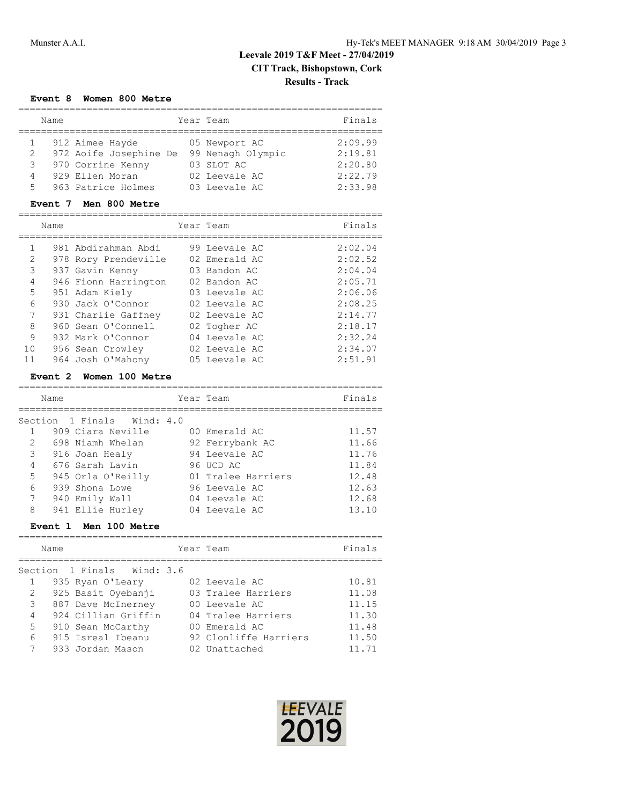# **Event 8 Women 800 Metre**

|    | Name |                        | Year Team |                   | Finals  |
|----|------|------------------------|-----------|-------------------|---------|
|    |      | 912 Aimee Hayde        |           | 05 Newport AC     | 2:09.99 |
| 2  |      | 972 Aoife Josephine De |           | 99 Nenagh Olympic | 2:19.81 |
| 3  |      | 970 Corrine Kenny      |           | 03 SLOT AC        | 2:20.80 |
| 4  |      | 929 Ellen Moran        |           | 02 Leevale AC     | 2:22.79 |
| 5. |      | 963 Patrice Holmes     |           | 03 Leevale AC     | 2:33.98 |

### **Event 7 Men 800 Metre**

|              | Name |                      | Year Team     | Finals  |
|--------------|------|----------------------|---------------|---------|
| $\mathbf{1}$ |      | 981 Abdirahman Abdi  | 99 Leevale AC | 2:02.04 |
| 2            |      | 978 Rory Prendeville | 02 Emerald AC | 2:02.52 |
| 3            |      | 937 Gavin Kenny      | 03 Bandon AC  | 2:04.04 |
| 4            |      | 946 Fionn Harrington | 02 Bandon AC  | 2:05.71 |
| 5            |      | 951 Adam Kiely       | 03 Leevale AC | 2:06.06 |
| 6            |      | 930 Jack O'Connor    | 02 Leevale AC | 2:08.25 |
| 7            |      | 931 Charlie Gaffney  | 02 Leevale AC | 2:14.77 |
| 8            |      | 960 Sean O'Connell   | 02 Togher AC  | 2:18.17 |
| 9            |      | 932 Mark O'Connor    | 04 Leevale AC | 2:32.24 |
| 10           |      | 956 Sean Crowley     | 02 Leevale AC | 2:34.07 |
| 11           |      | 964 Josh O'Mahony    | 05 Leevale AC | 2:51.91 |

#### **Event 2 Women 100 Metre**

|               | Name                       | Year Team          | Finals |
|---------------|----------------------------|--------------------|--------|
|               | Section 1 Finals Wind: 4.0 |                    |        |
|               |                            |                    |        |
|               | 909 Ciara Neville          | 00 Emerald AC      | 11.57  |
| $\mathcal{L}$ | 698 Niamh Whelan           | 92 Ferrybank AC    | 11.66  |
| $\mathcal{S}$ | 916 Joan Healy             | 94 Leevale AC      | 11.76  |
| 4             | 676 Sarah Lavin            | 96 UCD AC          | 11.84  |
| 5             | 945 Orla O'Reilly          | 01 Tralee Harriers | 12.48  |
| 6             | 939 Shona Lowe             | 96 Leevale AC      | 12.63  |
| 7             | 940 Emily Wall             | 04 Leevale AC      | 12.68  |
| 8             | 941 Ellie Hurley           | 04 Leevale AC      | 13.10  |

# **Event 1 Men 100 Metre**

|               | Year Team<br>Name                   | Finals                         |
|---------------|-------------------------------------|--------------------------------|
|               | Section 1 Finals Wind: 3.6          |                                |
|               | 935 Ryan O'Leary<br>02 Leevale AC   | 10.81                          |
| 2             | 925 Basit Oyebanji                  | 11.08<br>03 Tralee Harriers    |
| $\mathcal{S}$ | 887 Dave McInerney<br>00 Leevale AC | 11.15                          |
| 4             | 924 Cillian Griffin                 | 11.30<br>04 Tralee Harriers    |
| 5             | 910 Sean McCarthy<br>00 Emerald AC  | 11.48                          |
| 6             | 915 Isreal Ibeanu                   | 92 Clonliffe Harriers<br>11.50 |
|               | 933 Jordan Mason<br>02 Unattached   | 11.71                          |

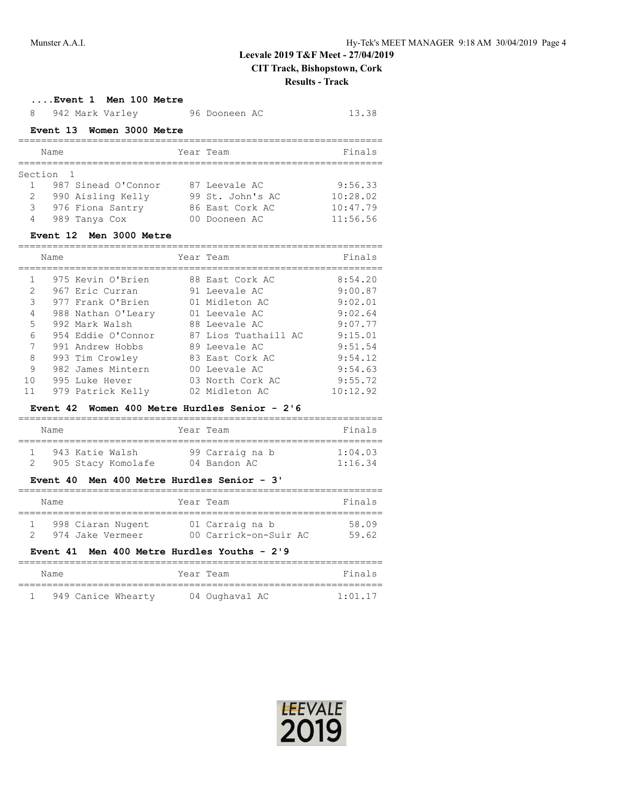#### **....Event 1 Men 100 Metre**

| 8<br>942 Mark Varley               | 96 Dooneen AC    | 13.38    |
|------------------------------------|------------------|----------|
| Event 13 Women 3000 Metre          |                  |          |
| Name                               | Year Team        | Finals   |
| Section<br>- 1                     |                  |          |
| 987 Sinead O'Connor                | 87 Leevale AC    | 9:56.33  |
| $\mathcal{L}$<br>990 Aisling Kelly | 99 St. John's AC | 10:28.02 |
| 3<br>976 Fiona Santry              | 86 East Cork AC  | 10:47.79 |
| 4<br>989 Tanya Cox                 | 00 Dooneen AC    | 11:56.56 |
| Event 12 Men 3000 Metre            |                  |          |
| Name                               | Year Team        | Finals   |
| 975 Kevin O'Brien                  | 88 East Cork AC  | 8:54.20  |

|                 | 975 Kevin O'Brien  | 88 East Cork AC      | 8:54.20  |
|-----------------|--------------------|----------------------|----------|
| 2               | 967 Eric Curran    | 91 Leevale AC        | 9:00.87  |
| 3               | 977 Frank O'Brien  | 01 Midleton AC       | 9:02.01  |
| 4               | 988 Nathan O'Leary | 01 Leevale AC        | 9:02.64  |
| 5               | 992 Mark Walsh     | 88 Leevale AC        | 9:07.77  |
| 6               | 954 Eddie O'Connor | 87 Lios Tuathaill AC | 9:15.01  |
| $7\phantom{.0}$ | 991 Andrew Hobbs   | 89 Leevale AC        | 9:51.54  |
| 8               | 993 Tim Crowley    | 83 East Cork AC      | 9:54.12  |
| 9               | 982 James Mintern  | 00 Leevale AC        | 9:54.63  |
| 10              | 995 Luke Hever     | 03 North Cork AC     | 9:55.72  |
| 11              | 979 Patrick Kelly  | 02 Midleton AC       | 10:12.92 |

# **Event 42 Women 400 Metre Hurdles Senior - 2'6**

| Name |                 |                    | Year Team       | Finals  |
|------|-----------------|--------------------|-----------------|---------|
|      | 943 Katie Walsh |                    | 99 Carraig na b | 1:04.03 |
|      |                 | 905 Stacy Komolafe | 04 Bandon AC    | 1:16.34 |

#### **Event 40 Men 400 Metre Hurdles Senior - 3'**

| Name                                                   | Year Team                                | Finals         |
|--------------------------------------------------------|------------------------------------------|----------------|
| 998 Ciaran Nugent<br>974 Jake Vermeer<br>$\mathcal{P}$ | 01 Carraig na b<br>00 Carrick-on-Suir AC | 58.09<br>59.62 |
| Event 41 Men 400 Metre Hurdles Youths - 2'9            |                                          |                |

| Name |  |  | Year Team          |  | Finals         |         |
|------|--|--|--------------------|--|----------------|---------|
|      |  |  |                    |  |                |         |
|      |  |  | 949 Canice Whearty |  | 04 Oughaval AC | 1:01.17 |

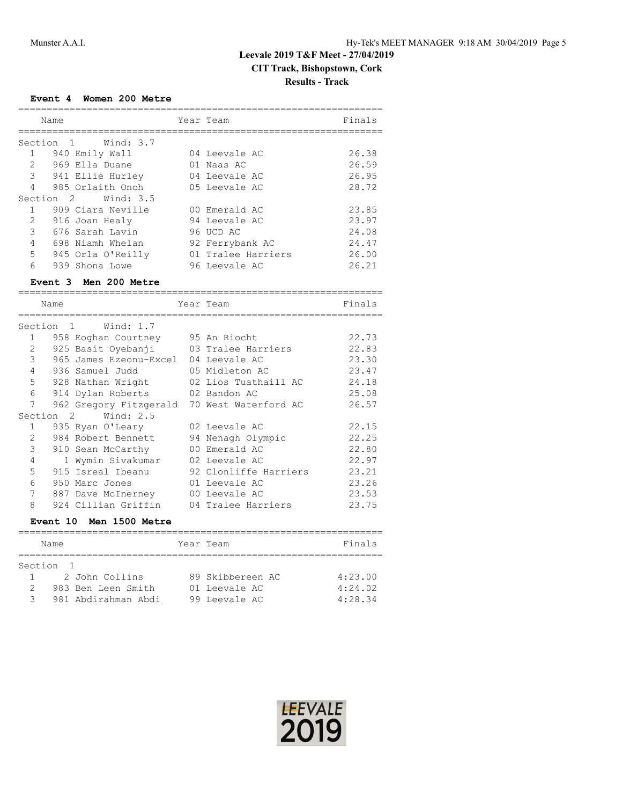# **Event 4 Women 200 Metre**

| Name           |                     | Year Team |                    | Finals |
|----------------|---------------------|-----------|--------------------|--------|
|                |                     |           |                    |        |
|                | Section 1 Wind: 3.7 |           |                    |        |
|                | 940 Emily Wall      |           | 04 Leevale AC      | 26.38  |
| $\mathcal{L}$  | 969 Ella Duane      |           | 01 Naas AC         | 26.59  |
| $\mathcal{S}$  | 941 Ellie Hurley    |           | 04 Leevale AC      | 26.95  |
| $\overline{4}$ | 985 Orlaith Onoh    |           | 05 Leevale AC      | 28.72  |
|                | Section 2 Wind: 3.5 |           |                    |        |
| 1              | 909 Ciara Neville   |           | 00 Emerald AC      | 23.85  |
| $\mathfrak{L}$ | 916 Joan Healy      |           | 94 Leevale AC      | 23.97  |
| 3              | 676 Sarah Lavin     |           | 96 UCD AC          | 24.08  |
| $\overline{4}$ | 698 Niamh Whelan    |           | 92 Ferrybank AC    | 24.47  |
| 5              | 945 Orla O'Reilly   |           | 01 Tralee Harriers | 26.00  |
| 6              | 939 Shona Lowe      |           | 96 Leevale AC      | 26.21  |

#### **Event 3 Men 200 Metre**

| Name                                   |                |                                             | Year Team | Finals                |       |
|----------------------------------------|----------------|---------------------------------------------|-----------|-----------------------|-------|
| Section<br>Wind: 1.7<br>$\overline{1}$ |                |                                             |           |                       |       |
| $\mathbf{1}$                           |                | 958 Eoghan Courtney 95 An Riocht            |           |                       | 22.73 |
| 2                                      |                | 925 Basit Oyebanji                          |           | 03 Tralee Harriers    | 22.83 |
| 3                                      |                | 965 James Ezeonu-Excel                      |           | 04 Leevale AC         | 23.30 |
| $\overline{4}$                         |                | 936 Samuel Judd                             |           | 05 Midleton AC        | 23.47 |
| 5                                      |                | 928 Nathan Wright                           |           | 02 Lios Tuathaill AC  | 24.18 |
| 6                                      |                | 914 Dylan Roberts                           |           | 02 Bandon AC          | 25.08 |
| 7                                      |                | 962 Gregory Fitzgerald 70 West Waterford AC |           |                       | 26.57 |
| Section                                | $\overline{2}$ | Wind: $2.5$                                 |           |                       |       |
| $\mathbf{1}$                           |                | 935 Ryan O'Leary                            |           | 02 Leevale AC         | 22.15 |
| 2                                      |                | 984 Robert Bennett                          |           | 94 Nenagh Olympic     | 22.25 |
| 3                                      |                | 910 Sean McCarthy                           |           | 00 Emerald AC         | 22.80 |
| $\overline{4}$                         |                | 1 Wymin Sivakumar                           |           | 02 Leevale AC         | 22.97 |
| 5                                      |                | 915 Isreal Ibeanu                           |           | 92 Clonliffe Harriers | 23.21 |
| 6                                      |                | 950 Marc Jones                              |           | 01 Leevale AC         | 23.26 |
| 7                                      |                | 887 Dave McInerney                          |           | 00 Leevale AC         | 23.53 |
| 8                                      |                | 924 Cillian Griffin                         |           | 04 Tralee Harriers    | 23.75 |

# **Event 10 Men 1500 Metre**

| Name          |                     |  | Year Team        | Finals  |  |  |  |
|---------------|---------------------|--|------------------|---------|--|--|--|
|               |                     |  |                  |         |  |  |  |
| Section 1     |                     |  |                  |         |  |  |  |
|               | 2 John Collins      |  | 89 Skibbereen AC | 4:23.00 |  |  |  |
|               | 983 Ben Leen Smith  |  | 01 Leevale AC    | 4:24.02 |  |  |  |
| $\mathcal{L}$ | 981 Abdirahman Abdi |  | 99 Leevale AC    | 4:28.34 |  |  |  |